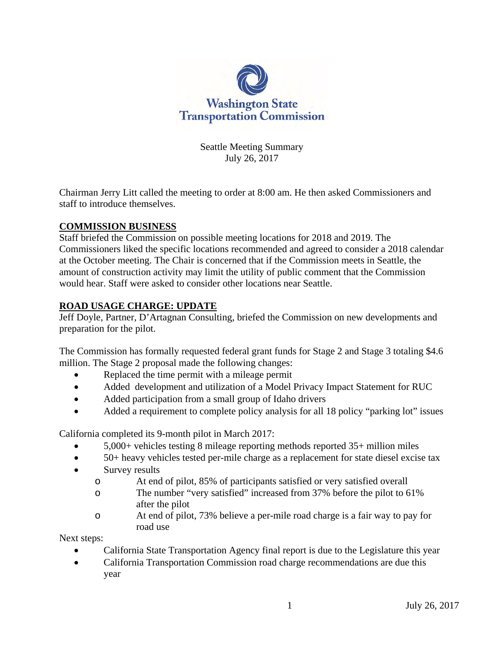

Seattle Meeting Summary July 26, 2017

Chairman Jerry Litt called the meeting to order at 8:00 am. He then asked Commissioners and staff to introduce themselves.

### **COMMISSION BUSINESS**

Staff briefed the Commission on possible meeting locations for 2018 and 2019. The Commissioners liked the specific locations recommended and agreed to consider a 2018 calendar at the October meeting. The Chair is concerned that if the Commission meets in Seattle, the amount of construction activity may limit the utility of public comment that the Commission would hear. Staff were asked to consider other locations near Seattle.

### **ROAD USAGE CHARGE: UPDATE**

Jeff Doyle, Partner, D'Artagnan Consulting, briefed the Commission on new developments and preparation for the pilot.

The Commission has formally requested federal grant funds for Stage 2 and Stage 3 totaling \$4.6 million. The Stage 2 proposal made the following changes:

- Replaced the time permit with a mileage permit
- Added development and utilization of a Model Privacy Impact Statement for RUC
- Added participation from a small group of Idaho drivers
- Added a requirement to complete policy analysis for all 18 policy "parking lot" issues

California completed its 9-month pilot in March 2017:

- 5,000+ vehicles testing 8 mileage reporting methods reported 35+ million miles
- 50+ heavy vehicles tested per-mile charge as a replacement for state diesel excise tax
- Survey results
	- o At end of pilot, 85% of participants satisfied or very satisfied overall
	- o The number "very satisfied" increased from 37% before the pilot to 61% after the pilot
	- o At end of pilot, 73% believe a per-mile road charge is a fair way to pay for road use

Next steps:

- California State Transportation Agency final report is due to the Legislature this year
- California Transportation Commission road charge recommendations are due this year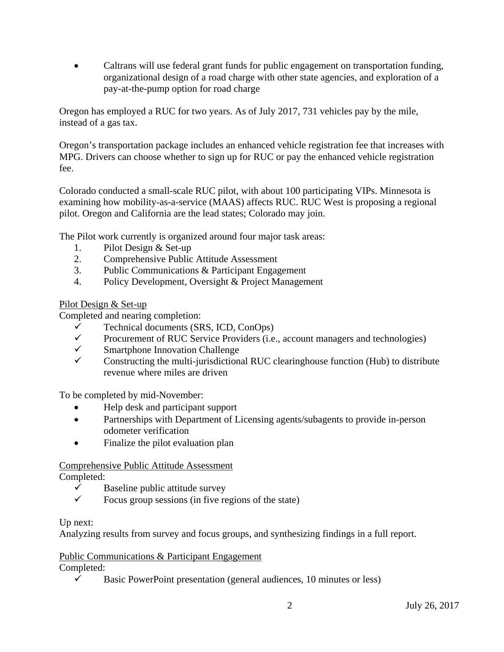• Caltrans will use federal grant funds for public engagement on transportation funding, organizational design of a road charge with other state agencies, and exploration of a pay-at-the-pump option for road charge

Oregon has employed a RUC for two years. As of July 2017, 731 vehicles pay by the mile, instead of a gas tax.

Oregon's transportation package includes an enhanced vehicle registration fee that increases with MPG. Drivers can choose whether to sign up for RUC or pay the enhanced vehicle registration fee.

Colorado conducted a small-scale RUC pilot, with about 100 participating VIPs. Minnesota is examining how mobility-as-a-service (MAAS) affects RUC. RUC West is proposing a regional pilot. Oregon and California are the lead states; Colorado may join.

The Pilot work currently is organized around four major task areas:

- 1. Pilot Design & Set-up
- 2. Comprehensive Public Attitude Assessment
- 3. Public Communications & Participant Engagement
- 4. Policy Development, Oversight & Project Management

#### Pilot Design & Set-up

Completed and nearing completion:

- $\checkmark$  Technical documents (SRS, ICD, ConOps)
- $\checkmark$  Procurement of RUC Service Providers (i.e., account managers and technologies)
- $\checkmark$  Smartphone Innovation Challenge
- Constructing the multi-jurisdictional RUC clearinghouse function (Hub) to distribute revenue where miles are driven

To be completed by mid-November:

- Help desk and participant support
- Partnerships with Department of Licensing agents/subagents to provide in-person odometer verification
- Finalize the pilot evaluation plan

## Comprehensive Public Attitude Assessment

Completed:

- $\checkmark$  Baseline public attitude survey<br> $\checkmark$  Bocus group sessions (in five re
- Focus group sessions (in five regions of the state)

#### Up next:

Analyzing results from survey and focus groups, and synthesizing findings in a full report.

#### Public Communications & Participant Engagement

Completed:

 $\checkmark$  Basic PowerPoint presentation (general audiences, 10 minutes or less)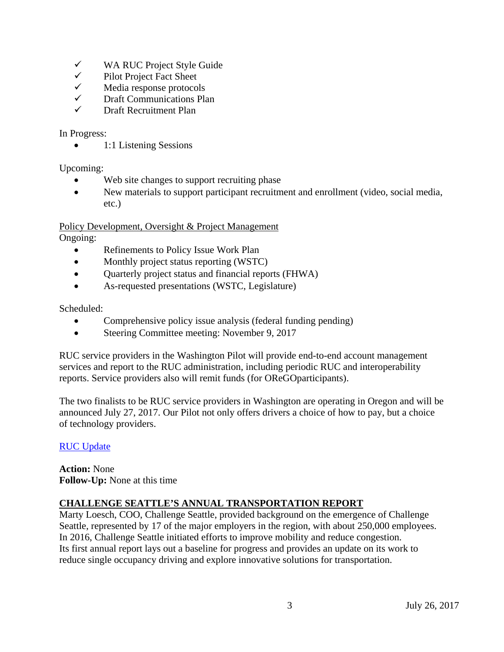- $\checkmark$  WA RUC Project Style Guide<br> $\checkmark$  Pilot Project Fact Sheet
- $\checkmark$  Pilot Project Fact Sheet<br> $\checkmark$  Media response protoco
- $\checkmark$  Media response protocols<br> $\checkmark$  Draft Communications Pla
- $\checkmark$  Draft Communications Plan
- Draft Recruitment Plan

In Progress:

• 1:1 Listening Sessions

Upcoming:

- Web site changes to support recruiting phase
- New materials to support participant recruitment and enrollment (video, social media, etc.)

Policy Development, Oversight & Project Management

Ongoing:

- Refinements to Policy Issue Work Plan
- Monthly project status reporting (WSTC)
- Quarterly project status and financial reports (FHWA)
- As-requested presentations (WSTC, Legislature)

Scheduled:

- Comprehensive policy issue analysis (federal funding pending)
- Steering Committee meeting: November 9, 2017

RUC service providers in the Washington Pilot will provide end-to-end account management services and report to the RUC administration, including periodic RUC and interoperability reports. Service providers also will remit funds (for OReGOparticipants).

The two finalists to be RUC service providers in Washington are operating in Oregon and will be announced July 27, 2017. Our Pilot not only offers drivers a choice of how to pay, but a choice of technology providers.

#### [RUC Update](http://www.wstc.wa.gov/Meetings/AgendasMinutes/agendas/2017/July26/documents/2017_0726_BP3_RUCUpdate.pdf)

**Action:** None **Follow-Up:** None at this time

#### **CHALLENGE SEATTLE'S ANNUAL TRANSPORTATION REPORT**

Marty Loesch, COO, Challenge Seattle, provided background on the emergence of Challenge Seattle, represented by 17 of the major employers in the region, with about 250,000 employees. In 2016, Challenge Seattle initiated efforts to improve mobility and reduce congestion. Its first annual report lays out a baseline for progress and provides an update on its work to reduce single occupancy driving and explore innovative solutions for transportation.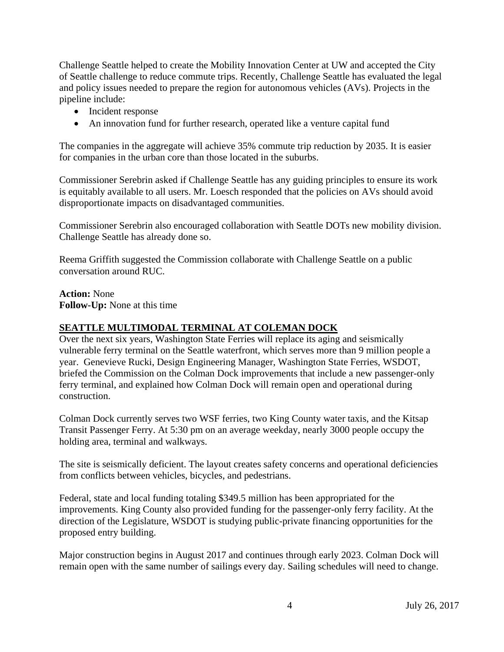Challenge Seattle helped to create the Mobility Innovation Center at UW and accepted the City of Seattle challenge to reduce commute trips. Recently, Challenge Seattle has evaluated the legal and policy issues needed to prepare the region for autonomous vehicles (AVs). Projects in the pipeline include:

- Incident response
- An innovation fund for further research, operated like a venture capital fund

The companies in the aggregate will achieve 35% commute trip reduction by 2035. It is easier for companies in the urban core than those located in the suburbs.

Commissioner Serebrin asked if Challenge Seattle has any guiding principles to ensure its work is equitably available to all users. Mr. Loesch responded that the policies on AVs should avoid disproportionate impacts on disadvantaged communities.

Commissioner Serebrin also encouraged collaboration with Seattle DOTs new mobility division. Challenge Seattle has already done so.

Reema Griffith suggested the Commission collaborate with Challenge Seattle on a public conversation around RUC.

**Action:** None **Follow-Up:** None at this time

#### **SEATTLE MULTIMODAL TERMINAL AT COLEMAN DOCK**

Over the next six years, Washington State Ferries will replace its aging and seismically vulnerable ferry terminal on the Seattle waterfront, which serves more than 9 million people a year. Genevieve Rucki, Design Engineering Manager, Washington State Ferries, WSDOT, briefed the Commission on the Colman Dock improvements that include a new passenger-only ferry terminal, and explained how Colman Dock will remain open and operational during construction.

Colman Dock currently serves two WSF ferries, two King County water taxis, and the Kitsap Transit Passenger Ferry. At 5:30 pm on an average weekday, nearly 3000 people occupy the holding area, terminal and walkways.

The site is seismically deficient. The layout creates safety concerns and operational deficiencies from conflicts between vehicles, bicycles, and pedestrians.

Federal, state and local funding totaling \$349.5 million has been appropriated for the improvements. King County also provided funding for the passenger-only ferry facility. At the direction of the Legislature, WSDOT is studying public-private financing opportunities for the proposed entry building.

Major construction begins in August 2017 and continues through early 2023. Colman Dock will remain open with the same number of sailings every day. Sailing schedules will need to change.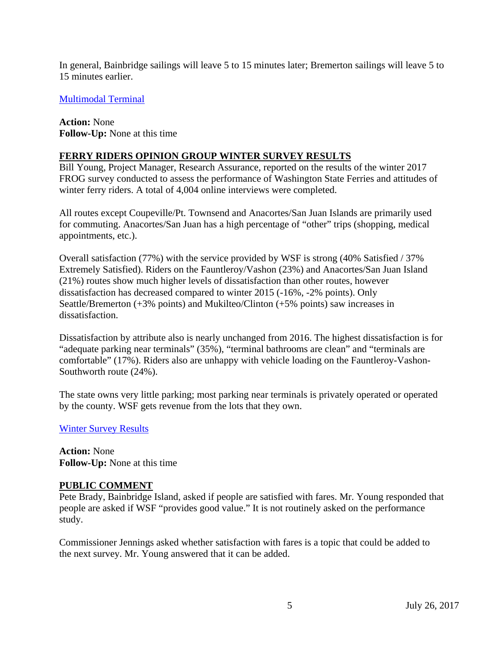In general, Bainbridge sailings will leave 5 to 15 minutes later; Bremerton sailings will leave 5 to 15 minutes earlier.

[Multimodal Terminal](http://www.wstc.wa.gov/Meetings/AgendasMinutes/agendas/2017/July26/documents/2017_0726_BP8_MultimodalTerminalAtColmanDock.pdf)

**Action:** None **Follow-Up:** None at this time

#### **FERRY RIDERS OPINION GROUP WINTER SURVEY RESULTS**

Bill Young, Project Manager, Research Assurance, reported on the results of the winter 2017 FROG survey conducted to assess the performance of Washington State Ferries and attitudes of winter ferry riders. A total of 4,004 online interviews were completed.

All routes except Coupeville/Pt. Townsend and Anacortes/San Juan Islands are primarily used for commuting. Anacortes/San Juan has a high percentage of "other" trips (shopping, medical appointments, etc.).

Overall satisfaction (77%) with the service provided by WSF is strong (40% Satisfied / 37% Extremely Satisfied). Riders on the Fauntleroy/Vashon (23%) and Anacortes/San Juan Island (21%) routes show much higher levels of dissatisfaction than other routes, however dissatisfaction has decreased compared to winter 2015 (-16%, -2% points). Only Seattle/Bremerton (+3% points) and Mukilteo/Clinton (+5% points) saw increases in dissatisfaction.

Dissatisfaction by attribute also is nearly unchanged from 2016. The highest dissatisfaction is for "adequate parking near terminals" (35%), "terminal bathrooms are clean" and "terminals are comfortable" (17%). Riders also are unhappy with vehicle loading on the Fauntleroy-Vashon-Southworth route (24%).

The state owns very little parking; most parking near terminals is privately operated or operated by the county. WSF gets revenue from the lots that they own.

[Winter Survey Results](http://www.wstc.wa.gov/Meetings/AgendasMinutes/agendas/2017/July26/documents/2017_0726_BP9_WinterSurveyResults.pdf)

**Action:** None **Follow-Up:** None at this time

#### **PUBLIC COMMENT**

Pete Brady, Bainbridge Island, asked if people are satisfied with fares. Mr. Young responded that people are asked if WSF "provides good value." It is not routinely asked on the performance study.

Commissioner Jennings asked whether satisfaction with fares is a topic that could be added to the next survey. Mr. Young answered that it can be added.